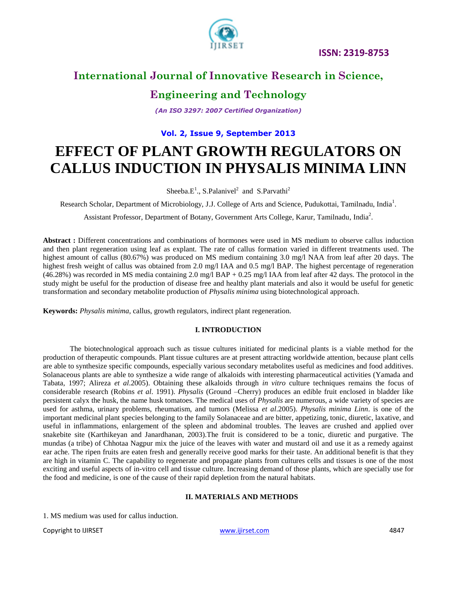

### **International Journal of Innovative Research in Science,**

### **Engineering and Technology**

*(An ISO 3297: 2007 Certified Organization)*

#### **Vol. 2, Issue 9, September 2013**

# **EFFECT OF PLANT GROWTH REGULATORS ON CALLUS INDUCTION IN PHYSALIS MINIMA LINN**

Sheeba.E<sup>1</sup>., S.Palanivel<sup>2</sup> and S.Parvathi<sup>2</sup>

Research Scholar, Department of Microbiology, J.J. College of Arts and Science, Pudukottai, Tamilnadu, India<sup>1</sup>.

Assistant Professor, Department of Botany, Government Arts College, Karur, Tamilnadu, India<sup>2</sup>.

**Abstract :** Different concentrations and combinations of hormones were used in MS medium to observe callus induction and then plant regeneration using leaf as explant. The rate of callus formation varied in different treatments used. The highest amount of callus (80.67%) was produced on MS medium containing 3.0 mg/l NAA from leaf after 20 days. The highest fresh weight of callus was obtained from 2.0 mg/l IAA and 0.5 mg/l BAP. The highest percentage of regeneration  $(46.28%)$  was recorded in MS media containing 2.0 mg/l BAP + 0.25 mg/l IAA from leaf after 42 days. The protocol in the study might be useful for the production of disease free and healthy plant materials and also it would be useful for genetic transformation and secondary metabolite production of *Physalis minima* using biotechnological approach.

**Keywords:** *Physalis minima*, callus, growth regulators, indirect plant regeneration.

#### **I. INTRODUCTION**

The biotechnological approach such as tissue cultures initiated for medicinal plants is a viable method for the production of therapeutic compounds. Plant tissue cultures are at present attracting worldwide attention, because plant cells are able to synthesize specific compounds, especially various secondary metabolites useful as medicines and food additives. Solanaceous plants are able to synthesize a wide range of alkaloids with interesting pharmaceutical activities (Yamada and Tabata, 1997; Alireza *et al*.2005). Obtaining these alkaloids through *in vitro* culture techniques remains the focus of considerable research (Robins *et al*. 1991). *Physalis* (Ground –Cherry) produces an edible fruit enclosed in bladder like persistent [calyx](http://www.blurtit.com/q846615.html) the husk, the name husk tomatoes. The medical uses of *Physalis* are numerous, a wide variety of species are used for asthma, urinary problems, rheumatism, and tumors (Melissa *et al*.2005). *Physalis minima Linn*. is one of the important medicinal plant species belonging to the family Solanaceae and are bitter, appetizing, tonic, diuretic, laxative, and useful in inflammations, enlargement of the spleen and abdominal troubles. The leaves are crushed and applied over snakebite site (Karthikeyan and Janardhanan, 2003).The fruit is considered to be a tonic, diuretic and purgative. The mundas (a tribe) of Chhotaa Nagpur mix the juice of the leaves with water and mustard oil and use it as a remedy against ear ache. The ripen fruits are eaten fresh and generally receive good marks for their taste. An additional benefit is that they are high in vitamin C. The capability to regenerate and propagate plants from cultures cells and tissues is one of the most exciting and useful aspects of in-vitro cell and tissue culture. Increasing demand of those plants, which are specially use for the food and medicine, is one of the cause of their rapid depletion from the natural habitats.

#### **II. MATERIALS AND METHODS**

1. MS medium was used for callus induction.

Copyright to IJIRSET [www.ijirset.com](http://www.ijirset.com/) 4847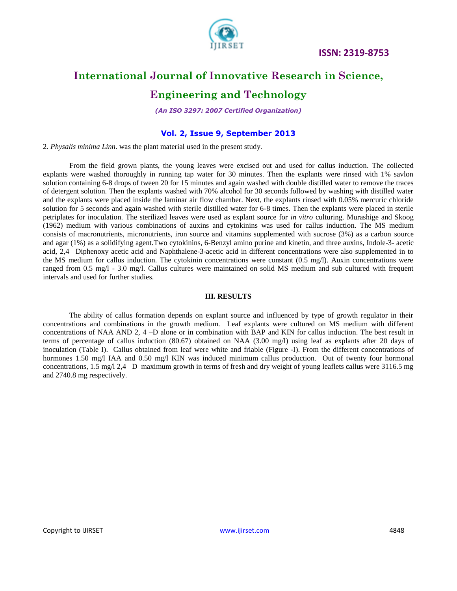**ISSN: 2319-8753** 



### **International Journal of Innovative Research in Science,**

### **Engineering and Technology**

*(An ISO 3297: 2007 Certified Organization)*

#### **Vol. 2, Issue 9, September 2013**

2. *Physalis minima Linn*. was the plant material used in the present study.

From the field grown plants, the young leaves were excised out and used for callus induction. The collected explants were washed thoroughly in running tap water for 30 minutes. Then the explants were rinsed with 1% savlon solution containing 6-8 drops of tween 20 for 15 minutes and again washed with double distilled water to remove the traces of detergent solution. Then the explants washed with 70% alcohol for 30 seconds followed by washing with distilled water and the explants were placed inside the laminar air flow chamber. Next, the explants rinsed with 0.05% mercuric chloride solution for 5 seconds and again washed with sterile distilled water for 6-8 times. Then the explants were placed in sterile petriplates for inoculation. The sterilized leaves were used as explant source for *in vitro* culturing. Murashige and Skoog (1962) medium with various combinations of auxins and cytokinins was used for callus induction. The MS medium consists of macronutrients, micronutrients, iron source and vitamins supplemented with sucrose (3%) as a carbon source and agar (1%) as a solidifying agent.Two cytokinins, 6-Benzyl amino purine and kinetin, and three auxins, Indole-3- acetic acid, 2,4 –Diphenoxy acetic acid and Naphthalene-3-acetic acid in different concentrations were also supplemented in to the MS medium for callus induction. The cytokinin concentrations were constant  $(0.5 \text{ mg/l})$ . Auxin concentrations were ranged from 0.5 mg/l - 3.0 mg/l. Callus cultures were maintained on solid MS medium and sub cultured with frequent intervals and used for further studies.

#### **III. RESULTS**

The ability of callus formation depends on explant source and influenced by type of growth regulator in their concentrations and combinations in the growth medium. Leaf explants were cultured on MS medium with different concentrations of NAA AND 2, 4 –D alone or in combination with BAP and KIN for callus induction. The best result in terms of percentage of callus induction (80.67) obtained on NAA (3.00 mg/l) using leaf as explants after 20 days of inoculation (Table I). Callus obtained from leaf were white and friable (Figure -I). From the different concentrations of hormones 1.50 mg/l IAA and 0.50 mg/l KIN was induced minimum callus production. Out of twenty four hormonal concentrations, 1.5 mg/l 2,4 –D maximum growth in terms of fresh and dry weight of young leaflets callus were 3116.5 mg and 2740.8 mg respectively.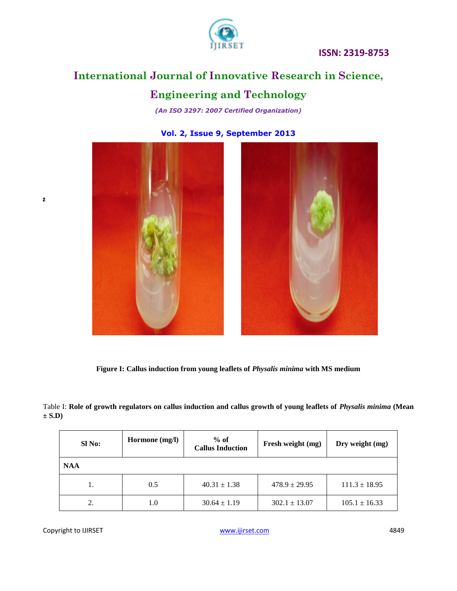

### **ISSN: 2319-8753**

## **International Journal of Innovative Research in Science,**

### **Engineering and Technology**

*(An ISO 3297: 2007 Certified Organization)*

**Vol. 2, Issue 9, September 2013**





**Figure I: Callus induction from young leaflets of** *Physalis minima* **with MS medium**

Table I: **Role of growth regulators on callus induction and callus growth of young leaflets of** *Physalis minima* **(Mean ± S.D)**

| SI No:     | Hormone (mg/l) | $%$ of<br><b>Callus Induction</b> | Fresh weight (mg) | Dry weight (mg)   |  |  |  |
|------------|----------------|-----------------------------------|-------------------|-------------------|--|--|--|
| <b>NAA</b> |                |                                   |                   |                   |  |  |  |
| Ī.         | 0.5            | $40.31 \pm 1.38$                  | $478.9 \pm 29.95$ | $111.3 \pm 18.95$ |  |  |  |
| 2.         | 1.0            | $30.64 \pm 1.19$                  | $302.1 \pm 13.07$ | $105.1 \pm 16.33$ |  |  |  |

Copyright to IJIRSET **18849** WWW.ijirset.com **18849** WWW.ijirset.com 4849

**z**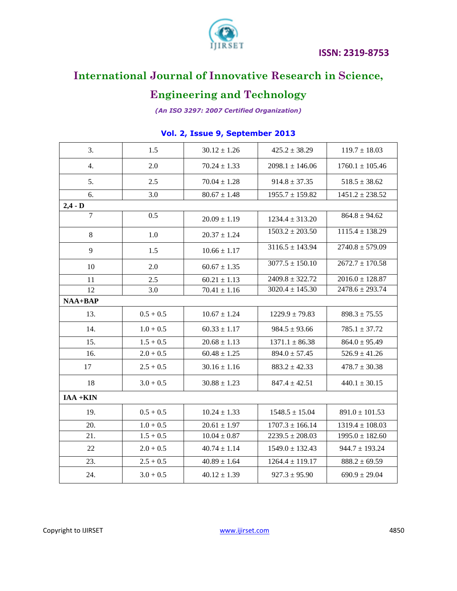



## **International Journal of Innovative Research in Science,**

## **Engineering and Technology**

*(An ISO 3297: 2007 Certified Organization)*

| 3.             | 1.5         | $30.12 \pm 1.26$ | $425.2 \pm 38.29$   | $119.7 \pm 18.03$   |  |  |  |
|----------------|-------------|------------------|---------------------|---------------------|--|--|--|
| 4.             | 2.0         | $70.24 \pm 1.33$ | $2098.1 \pm 146.06$ | $1760.1 \pm 105.46$ |  |  |  |
| 5.             | 2.5         | $70.04 \pm 1.28$ | $914.8 \pm 37.35$   | $518.5 \pm 38.62$   |  |  |  |
| 6.             | 3.0         | $80.67 \pm 1.48$ | $1955.7 \pm 159.82$ | $1451.2 \pm 238.52$ |  |  |  |
| $2,4 - D$      |             |                  |                     |                     |  |  |  |
| $\overline{7}$ | 0.5         | $20.09 \pm 1.19$ | $1234.4 \pm 313.20$ | $864.8 \pm 94.62$   |  |  |  |
| $\,8\,$        | 1.0         | $20.37 \pm 1.24$ | $1503.2 \pm 203.50$ | $1115.4 \pm 138.29$ |  |  |  |
| 9              | 1.5         | $10.66 \pm 1.17$ | $3116.5 \pm 143.94$ | $2740.8 \pm 579.09$ |  |  |  |
| 10             | 2.0         | $60.67 \pm 1.35$ | $3077.5 \pm 150.10$ | $2672.7 \pm 170.58$ |  |  |  |
| 11             | 2.5         | $60.21 \pm 1.13$ | $2409.8 \pm 322.72$ | $2016.0 \pm 128.87$ |  |  |  |
| 12             | 3.0         | $70.41 \pm 1.16$ | $3020.4 \pm 145.30$ | $2478.6 \pm 293.74$ |  |  |  |
| $NAA+BAP$      |             |                  |                     |                     |  |  |  |
| 13.            | $0.5 + 0.5$ | $10.67 \pm 1.24$ | $1229.9 \pm 79.83$  | $898.3 \pm 75.55$   |  |  |  |
| 14.            | $1.0 + 0.5$ | $60.33 \pm 1.17$ | $984.5 \pm 93.66$   | $785.1 \pm 37.72$   |  |  |  |
| 15.            | $1.5 + 0.5$ | $20.68 \pm 1.13$ | $1371.1 \pm 86.38$  | $864.0 \pm 95.49$   |  |  |  |
| 16.            | $2.0 + 0.5$ | $60.48 \pm 1.25$ | $894.0 \pm 57.45$   | $526.9 \pm 41.26$   |  |  |  |
| 17             | $2.5 + 0.5$ | $30.16 \pm 1.16$ | $883.2 \pm 42.33$   | $478.7 \pm 30.38$   |  |  |  |
| 18             | $3.0 + 0.5$ | $30.88 \pm 1.23$ | $847.4 \pm 42.51$   | $440.1 \pm 30.15$   |  |  |  |
| $IAA + KIN$    |             |                  |                     |                     |  |  |  |
| 19.            | $0.5 + 0.5$ | $10.24 \pm 1.33$ | $1548.5 \pm 15.04$  | $891.0 \pm 101.53$  |  |  |  |
| 20.            | $1.0 + 0.5$ | $20.61 \pm 1.97$ | $1707.3 \pm 166.14$ | $1319.4 \pm 108.03$ |  |  |  |
| 21.            | $1.5 + 0.5$ | $10.04 \pm 0.87$ | $2239.5 \pm 208.03$ | $1995.0 \pm 182.60$ |  |  |  |
| 22             | $2.0 + 0.5$ | $40.74 \pm 1.14$ | $1549.0 \pm 132.43$ | $944.7 \pm 193.24$  |  |  |  |
| 23.            | $2.5 + 0.5$ | $40.89 \pm 1.64$ | $1264.4 \pm 119.17$ | $888.2 \pm 69.59$   |  |  |  |
| 24.            | $3.0 + 0.5$ | $40.12 \pm 1.39$ | $927.3 \pm 95.90$   | $690.9 \pm 29.04$   |  |  |  |

### **Vol. 2, Issue 9, September 2013**